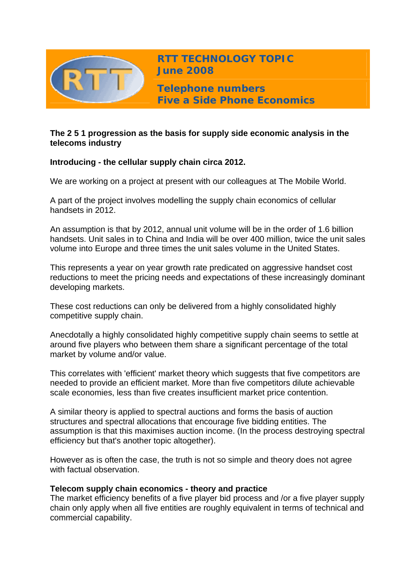

# **The 2 5 1 progression as the basis for supply side economic analysis in the telecoms industry**

# **Introducing - the cellular supply chain circa 2012.**

We are working on a project at present with our colleagues at The Mobile World.

A part of the project involves modelling the supply chain economics of cellular handsets in 2012.

An assumption is that by 2012, annual unit volume will be in the order of 1.6 billion handsets. Unit sales in to China and India will be over 400 million, twice the unit sales volume into Europe and three times the unit sales volume in the United States.

This represents a year on year growth rate predicated on aggressive handset cost reductions to meet the pricing needs and expectations of these increasingly dominant developing markets.

These cost reductions can only be delivered from a highly consolidated highly competitive supply chain.

Anecdotally a highly consolidated highly competitive supply chain seems to settle at around five players who between them share a significant percentage of the total market by volume and/or value.

This correlates with 'efficient' market theory which suggests that five competitors are needed to provide an efficient market. More than five competitors dilute achievable scale economies, less than five creates insufficient market price contention.

A similar theory is applied to spectral auctions and forms the basis of auction structures and spectral allocations that encourage five bidding entities. The assumption is that this maximises auction income. (In the process destroying spectral efficiency but that's another topic altogether).

However as is often the case, the truth is not so simple and theory does not agree with factual observation.

### **Telecom supply chain economics - theory and practice**

The market efficiency benefits of a five player bid process and /or a five player supply chain only apply when all five entities are roughly equivalent in terms of technical and commercial capability.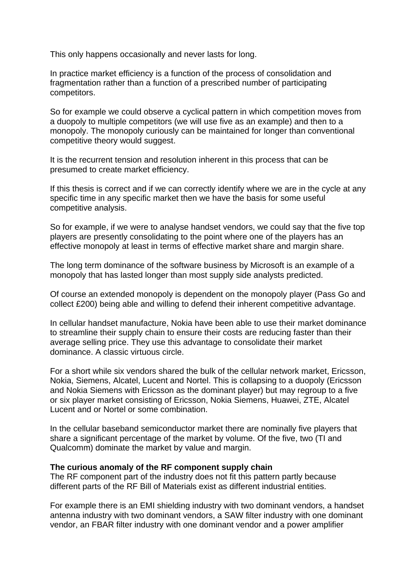This only happens occasionally and never lasts for long.

In practice market efficiency is a function of the process of consolidation and fragmentation rather than a function of a prescribed number of participating competitors.

So for example we could observe a cyclical pattern in which competition moves from a duopoly to multiple competitors (we will use five as an example) and then to a monopoly. The monopoly curiously can be maintained for longer than conventional competitive theory would suggest.

It is the recurrent tension and resolution inherent in this process that can be presumed to create market efficiency.

If this thesis is correct and if we can correctly identify where we are in the cycle at any specific time in any specific market then we have the basis for some useful competitive analysis.

So for example, if we were to analyse handset vendors, we could say that the five top players are presently consolidating to the point where one of the players has an effective monopoly at least in terms of effective market share and margin share.

The long term dominance of the software business by Microsoft is an example of a monopoly that has lasted longer than most supply side analysts predicted.

Of course an extended monopoly is dependent on the monopoly player (Pass Go and collect £200) being able and willing to defend their inherent competitive advantage.

In cellular handset manufacture, Nokia have been able to use their market dominance to streamline their supply chain to ensure their costs are reducing faster than their average selling price. They use this advantage to consolidate their market dominance. A classic virtuous circle.

For a short while six vendors shared the bulk of the cellular network market, Ericsson, Nokia, Siemens, Alcatel, Lucent and Nortel. This is collapsing to a duopoly (Ericsson and Nokia Siemens with Ericsson as the dominant player) but may regroup to a five or six player market consisting of Ericsson, Nokia Siemens, Huawei, ZTE, Alcatel Lucent and or Nortel or some combination.

In the cellular baseband semiconductor market there are nominally five players that share a significant percentage of the market by volume. Of the five, two (TI and Qualcomm) dominate the market by value and margin.

#### **The curious anomaly of the RF component supply chain**

The RF component part of the industry does not fit this pattern partly because different parts of the RF Bill of Materials exist as different industrial entities.

For example there is an EMI shielding industry with two dominant vendors, a handset antenna industry with two dominant vendors, a SAW filter industry with one dominant vendor, an FBAR filter industry with one dominant vendor and a power amplifier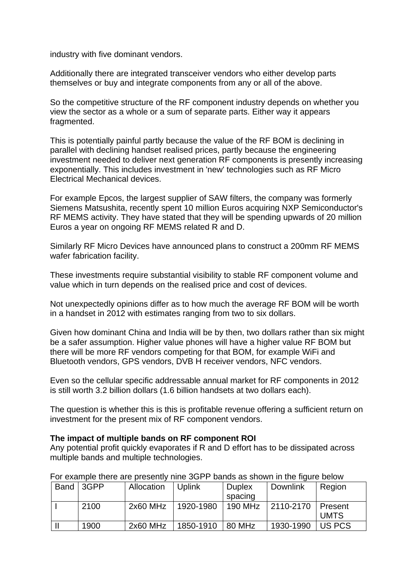industry with five dominant vendors.

Additionally there are integrated transceiver vendors who either develop parts themselves or buy and integrate components from any or all of the above.

So the competitive structure of the RF component industry depends on whether you view the sector as a whole or a sum of separate parts. Either way it appears fragmented.

This is potentially painful partly because the value of the RF BOM is declining in parallel with declining handset realised prices, partly because the engineering investment needed to deliver next generation RF components is presently increasing exponentially. This includes investment in 'new' technologies such as RF Micro Electrical Mechanical devices.

For example Epcos, the largest supplier of SAW filters, the company was formerly Siemens Matsushita, recently spent 10 million Euros acquiring NXP Semiconductor's RF MEMS activity. They have stated that they will be spending upwards of 20 million Euros a year on ongoing RF MEMS related R and D.

Similarly RF Micro Devices have announced plans to construct a 200mm RF MEMS wafer fabrication facility.

These investments require substantial visibility to stable RF component volume and value which in turn depends on the realised price and cost of devices.

Not unexpectedly opinions differ as to how much the average RF BOM will be worth in a handset in 2012 with estimates ranging from two to six dollars.

Given how dominant China and India will be by then, two dollars rather than six might be a safer assumption. Higher value phones will have a higher value RF BOM but there will be more RF vendors competing for that BOM, for example WiFi and Bluetooth vendors, GPS vendors, DVB H receiver vendors, NFC vendors.

Even so the cellular specific addressable annual market for RF components in 2012 is still worth 3.2 billion dollars (1.6 billion handsets at two dollars each).

The question is whether this is this is profitable revenue offering a sufficient return on investment for the present mix of RF component vendors.

#### **The impact of multiple bands on RF component ROI**

Any potential profit quickly evaporates if R and D effort has to be dissipated across multiple bands and multiple technologies.

| <b>Band</b> | 3GPP | Allocation | <b>Uplink</b> | <b>Duplex</b> | Downlink  | Region      |
|-------------|------|------------|---------------|---------------|-----------|-------------|
|             |      |            |               | spacing       |           |             |
|             | 2100 | $2x60$ MHz | 1920-1980     | 190 MHz       | 2110-2170 | Present     |
|             |      |            |               |               |           | <b>UMTS</b> |
|             | 1900 | $2x60$ MHz | 1850-1910     | 80 MHz        | 1930-1990 | US PCS      |

# For example there are presently nine 3GPP bands as shown in the figure below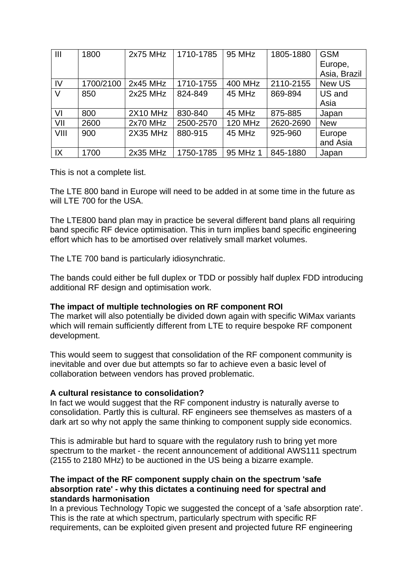| $\mathbf{III}$ | 1800      | $2x75$ MHz      | 1710-1785 | 95 MHz         | 1805-1880 | <b>GSM</b>   |
|----------------|-----------|-----------------|-----------|----------------|-----------|--------------|
|                |           |                 |           |                |           | Europe,      |
|                |           |                 |           |                |           | Asia, Brazil |
| IV             | 1700/2100 | $2x45$ MHz      | 1710-1755 | 400 MHz        | 2110-2155 | New US       |
| V              | 850       | $2x25$ MHz      | 824-849   | 45 MHz         | 869-894   | US and       |
|                |           |                 |           |                |           | Asia         |
| VI             | 800       | <b>2X10 MHz</b> | 830-840   | 45 MHz         | 875-885   | Japan        |
| VII            | 2600      | $2x70$ MHz      | 2500-2570 | <b>120 MHz</b> | 2620-2690 | <b>New</b>   |
| VIII           | 900       | <b>2X35 MHz</b> | 880-915   | 45 MHz         | 925-960   | Europe       |
|                |           |                 |           |                |           | and Asia     |
| IX             | 1700      | $2x35$ MHz      | 1750-1785 | 95 MHz 1       | 845-1880  | Japan        |

This is not a complete list.

The LTE 800 band in Europe will need to be added in at some time in the future as will LTE 700 for the USA.

The LTE800 band plan may in practice be several different band plans all requiring band specific RF device optimisation. This in turn implies band specific engineering effort which has to be amortised over relatively small market volumes.

The LTE 700 band is particularly idiosynchratic.

The bands could either be full duplex or TDD or possibly half duplex FDD introducing additional RF design and optimisation work.

### **The impact of multiple technologies on RF component ROI**

The market will also potentially be divided down again with specific WiMax variants which will remain sufficiently different from LTE to require bespoke RF component development.

This would seem to suggest that consolidation of the RF component community is inevitable and over due but attempts so far to achieve even a basic level of collaboration between vendors has proved problematic.

#### **A cultural resistance to consolidation?**

In fact we would suggest that the RF component industry is naturally averse to consolidation. Partly this is cultural. RF engineers see themselves as masters of a dark art so why not apply the same thinking to component supply side economics.

This is admirable but hard to square with the regulatory rush to bring yet more spectrum to the market - the recent announcement of additional AWS111 spectrum (2155 to 2180 MHz) to be auctioned in the US being a bizarre example.

#### **The impact of the RF component supply chain on the spectrum 'safe absorption rate' - why this dictates a continuing need for spectral and standards harmonisation**

In a previous Technology Topic we suggested the concept of a 'safe absorption rate'. This is the rate at which spectrum, particularly spectrum with specific RF requirements, can be exploited given present and projected future RF engineering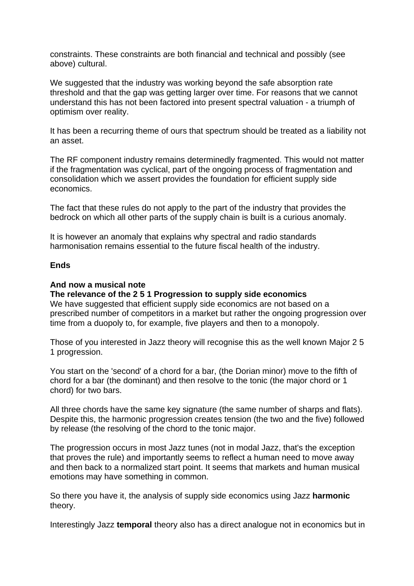constraints. These constraints are both financial and technical and possibly (see above) cultural.

We suggested that the industry was working beyond the safe absorption rate threshold and that the gap was getting larger over time. For reasons that we cannot understand this has not been factored into present spectral valuation - a triumph of optimism over reality.

It has been a recurring theme of ours that spectrum should be treated as a liability not an asset.

The RF component industry remains determinedly fragmented. This would not matter if the fragmentation was cyclical, part of the ongoing process of fragmentation and consolidation which we assert provides the foundation for efficient supply side economics.

The fact that these rules do not apply to the part of the industry that provides the bedrock on which all other parts of the supply chain is built is a curious anomaly.

It is however an anomaly that explains why spectral and radio standards harmonisation remains essential to the future fiscal health of the industry.

### **Ends**

### **And now a musical note**

### **The relevance of the 2 5 1 Progression to supply side economics**

We have suggested that efficient supply side economics are not based on a prescribed number of competitors in a market but rather the ongoing progression over time from a duopoly to, for example, five players and then to a monopoly.

Those of you interested in Jazz theory will recognise this as the well known Major 2 5 1 progression.

You start on the 'second' of a chord for a bar, (the Dorian minor) move to the fifth of chord for a bar (the dominant) and then resolve to the tonic (the major chord or 1 chord) for two bars.

All three chords have the same key signature (the same number of sharps and flats). Despite this, the harmonic progression creates tension (the two and the five) followed by release (the resolving of the chord to the tonic major.

The progression occurs in most Jazz tunes (not in modal Jazz, that's the exception that proves the rule) and importantly seems to reflect a human need to move away and then back to a normalized start point. It seems that markets and human musical emotions may have something in common.

So there you have it, the analysis of supply side economics using Jazz **harmonic** theory.

Interestingly Jazz **temporal** theory also has a direct analogue not in economics but in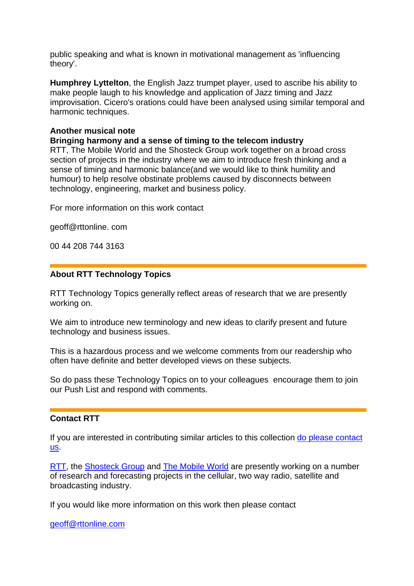public speaking and what is known in motivational management as 'influencing theory'.

**Humphrey Lyttelton**, the English Jazz trumpet player, used to ascribe his ability to make people laugh to his knowledge and application of Jazz timing and Jazz improvisation. Cicero's orations could have been analysed using similar temporal and harmonic techniques.

# **Another musical note**

**Bringing harmony and a sense of timing to the telecom industry** 

RTT, The Mobile World and the Shosteck Group work together on a broad cross section of projects in the industry where we aim to introduce fresh thinking and a sense of timing and harmonic balance(and we would like to think humility and humour) to help resolve obstinate problems caused by disconnects between technology, engineering, market and business policy.

For more information on this work contact

geoff@rttonline. com

00 44 208 744 3163

### **About RTT Technology Topics**

RTT Technology Topics generally reflect areas of research that we are presently working on.

We aim to introduce new terminology and new ideas to clarify present and future technology and business issues.

This is a hazardous process and we welcome comments from our readership who often have definite and better developed views on these subjects.

So do pass these Technology Topics on to your colleagues encourage them to join our Push List and respond with comments.

# **Contact RTT**

If you are interested in contributing similar articles to this collection [do please contact](mailto:geoff@rttonline.com)  [us.](mailto:geoff@rttonline.com)

[RTT](http://www.rttonline.com/), the [Shosteck Group](http://www.shosteck.com/) and [The Mobile World](http://www.themobileworld.com/) are presently working on a number of research and forecasting projects in the cellular, two way radio, satellite and broadcasting industry.

If you would like more information on this work then please contact

[geoff@rttonline.com](mailto:geoff@rttonline.com)